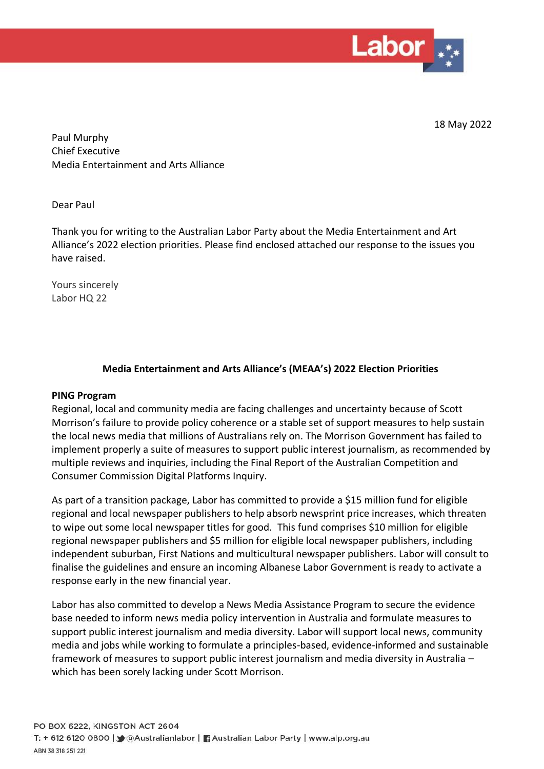

18 May 2022

Paul Murphy Chief Executive Media Entertainment and Arts A[lliance](mailto:matthew.chesher@meaa.org) 

Dear Paul

Thank you for writing to the Australian Labor Party about the Media Entertainment and Art Alliance's 2022 election priorities. Please find enclosed attached our response to the issues you have raised.

Yours sincerely Labor HQ 22

## **Media Entertainment and Arts Alliance's (MEAA's) 2022 Election Priorities**

#### **PING Program**

Regional, local and community media are facing challenges and uncertainty because of Scott Morrison's failure to provide policy coherence or a stable set of support measures to help sustain the local news media that millions of Australians rely on. The Morrison Government has failed to implement properly a suite of measures to support public interest journalism, as recommended by multiple reviews and inquiries, including the Final Report of the Australian Competition and Consumer Commission Digital Platforms Inquiry.

As part of a transition package, Labor has committed to provide a \$15 million fund for eligible regional and local newspaper publishers to help absorb newsprint price increases, which threaten to wipe out some local newspaper titles for good. This fund comprises \$10 million for eligible regional newspaper publishers and \$5 million for eligible local newspaper publishers, including independent suburban, First Nations and multicultural newspaper publishers. Labor will consult to finalise the guidelines and ensure an incoming Albanese Labor Government is ready to activate a response early in the new financial year.

Labor has also committed to develop a News Media Assistance Program to secure the evidence base needed to inform news media policy intervention in Australia and formulate measures to support public interest journalism and media diversity. Labor will support local news, community media and jobs while working to formulate a principles-based, evidence-informed and sustainable framework of measures to support public interest journalism and media diversity in Australia – which has been sorely lacking under Scott Morrison.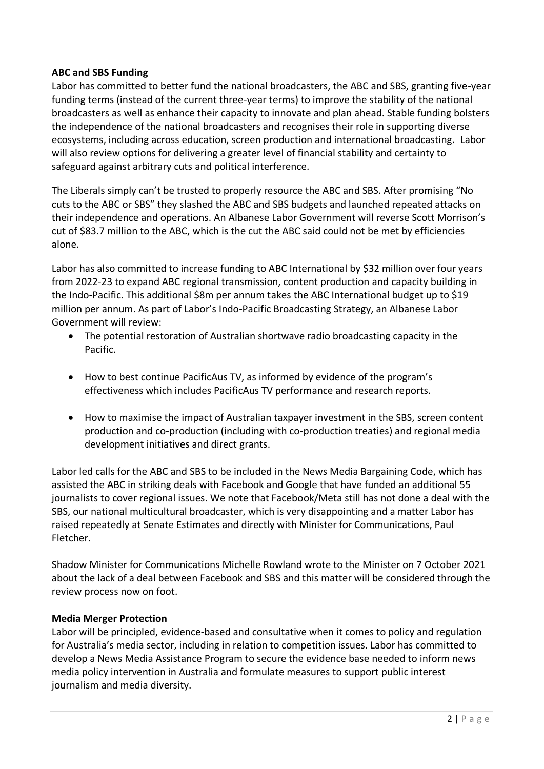# **ABC and SBS Funding**

Labor has committed to better fund the national broadcasters, the ABC and SBS, granting five-year funding terms (instead of the current three-year terms) to improve the stability of the national broadcasters as well as enhance their capacity to innovate and plan ahead. Stable funding bolsters the independence of the national broadcasters and recognises their role in supporting diverse ecosystems, including across education, screen production and international broadcasting. Labor will also review options for delivering a greater level of financial stability and certainty to safeguard against arbitrary cuts and political interference.

The Liberals simply can't be trusted to properly resource the ABC and SBS. After promising "No cuts to the ABC or SBS" they slashed the ABC and SBS budgets and launched repeated attacks on their independence and operations. An Albanese Labor Government will reverse Scott Morrison's cut of \$83.7 million to the ABC, which is the cut the ABC said could not be met by efficiencies alone.

Labor has also committed to increase funding to ABC International by \$32 million over four years from 2022-23 to expand ABC regional transmission, content production and capacity building in the Indo-Pacific. This additional \$8m per annum takes the ABC International budget up to \$19 million per annum. As part of Labor's Indo-Pacific Broadcasting Strategy, an Albanese Labor Government will review:

- The potential restoration of Australian shortwave radio broadcasting capacity in the Pacific.
- How to best continue PacificAus TV, as informed by evidence of the program's effectiveness which includes PacificAus TV performance and research reports.
- How to maximise the impact of Australian taxpayer investment in the SBS, screen content production and co-production (including with co-production treaties) and regional media development initiatives and direct grants.

Labor led calls for the ABC and SBS to be included in the News Media Bargaining Code, which has assisted the ABC in striking deals with Facebook and Google that have funded an additional 55 journalists to cover regional issues. We note that Facebook/Meta still has not done a deal with the SBS, our national multicultural broadcaster, which is very disappointing and a matter Labor has raised repeatedly at Senate Estimates and directly with Minister for Communications, Paul Fletcher.

Shadow Minister for Communications Michelle Rowland wrote to the Minister on 7 October 2021 about the lack of a deal between Facebook and SBS and this matter will be considered through the review process now on foot.

### **Media Merger Protection**

Labor will be principled, evidence-based and consultative when it comes to policy and regulation for Australia's media sector, including in relation to competition issues. Labor has committed to develop a News Media Assistance Program to secure the evidence base needed to inform news media policy intervention in Australia and formulate measures to support public interest journalism and media diversity.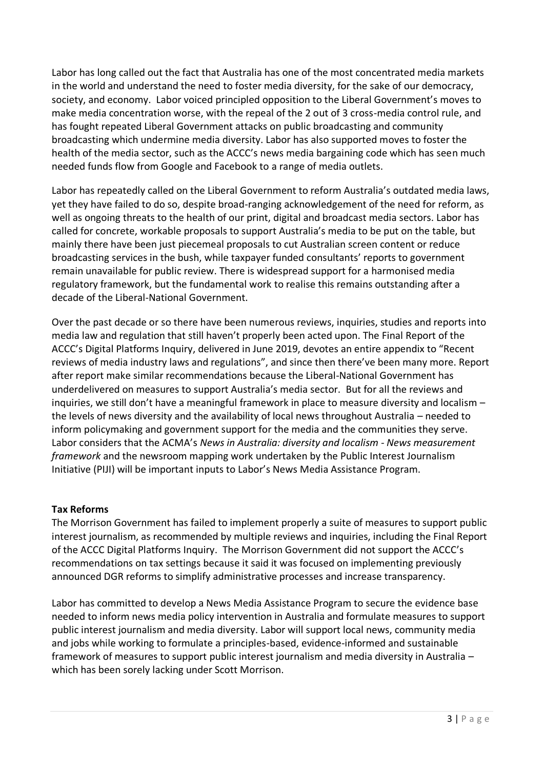Labor has long called out the fact that Australia has one of the most concentrated media markets in the world and understand the need to foster media diversity, for the sake of our democracy, society, and economy. Labor voiced principled opposition to the Liberal Government's moves to make media concentration worse, with the repeal of the 2 out of 3 cross-media control rule, and has fought repeated Liberal Government attacks on public broadcasting and community broadcasting which undermine media diversity. Labor has also supported moves to foster the health of the media sector, such as the ACCC's news media bargaining code which has seen much needed funds flow from Google and Facebook to a range of media outlets.

Labor has repeatedly called on the Liberal Government to reform Australia's outdated media laws, yet they have failed to do so, despite broad-ranging acknowledgement of the need for reform, as well as ongoing threats to the health of our print, digital and broadcast media sectors. Labor has called for concrete, workable proposals to support Australia's media to be put on the table, but mainly there have been just piecemeal proposals to cut Australian screen content or reduce broadcasting services in the bush, while taxpayer funded consultants' reports to government remain unavailable for public review. There is widespread support for a harmonised media regulatory framework, but the fundamental work to realise this remains outstanding after a decade of the Liberal-National Government.

Over the past decade or so there have been numerous reviews, inquiries, studies and reports into media law and regulation that still haven't properly been acted upon. The Final Report of the ACCC's Digital Platforms Inquiry, delivered in June 2019, devotes an entire appendix to "Recent reviews of media industry laws and regulations", and since then there've been many more. Report after report make similar recommendations because the Liberal-National Government has underdelivered on measures to support Australia's media sector. But for all the reviews and inquiries, we still don't have a meaningful framework in place to measure diversity and localism – the levels of news diversity and the availability of local news throughout Australia – needed to inform policymaking and government support for the media and the communities they serve. Labor considers that the ACMA's *News in Australia: diversity and localism - News measurement framework* and the newsroom mapping work undertaken by the Public Interest Journalism Initiative (PIJI) will be important inputs to Labor's News Media Assistance Program.

# **Tax Reforms**

The Morrison Government has failed to implement properly a suite of measures to support public interest journalism, as recommended by multiple reviews and inquiries, including the Final Report of the ACCC Digital Platforms Inquiry. The Morrison Government did not support the ACCC's recommendations on tax settings because it said it was focused on implementing previously announced DGR reforms to simplify administrative processes and increase transparency.

Labor has committed to develop a News Media Assistance Program to secure the evidence base needed to inform news media policy intervention in Australia and formulate measures to support public interest journalism and media diversity. Labor will support local news, community media and jobs while working to formulate a principles-based, evidence-informed and sustainable framework of measures to support public interest journalism and media diversity in Australia – which has been sorely lacking under Scott Morrison.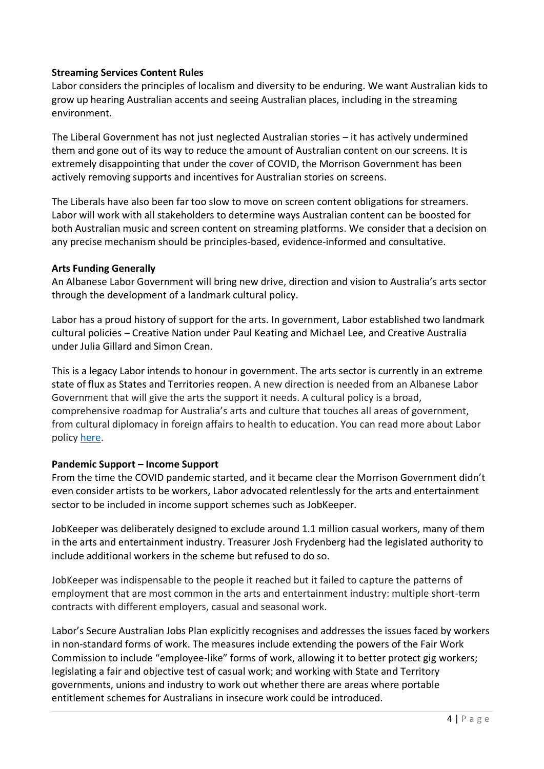# **Streaming Services Content Rules**

Labor considers the principles of localism and diversity to be enduring. We want Australian kids to grow up hearing Australian accents and seeing Australian places, including in the streaming environment.

The Liberal Government has not just neglected Australian stories – it has actively undermined them and gone out of its way to reduce the amount of Australian content on our screens. It is extremely disappointing that under the cover of COVID, the Morrison Government has been actively removing supports and incentives for Australian stories on screens.

The Liberals have also been far too slow to move on screen content obligations for streamers. Labor will work with all stakeholders to determine ways Australian content can be boosted for both Australian music and screen content on streaming platforms. We consider that a decision on any precise mechanism should be principles-based, evidence-informed and consultative.

### **Arts Funding Generally**

An Albanese Labor Government will bring new drive, direction and vision to Australia's arts sector through the development of a landmark cultural policy.

Labor has a proud history of support for the arts. In government, Labor established two landmark cultural policies – Creative Nation under Paul Keating and Michael Lee, and Creative Australia under Julia Gillard and Simon Crean.

This is a legacy Labor intends to honour in government. The arts sector is currently in an extreme state of flux as States and Territories reopen. A new direction is needed from an Albanese Labor Government that will give the arts the support it needs. A cultural policy is a broad, comprehensive roadmap for Australia's arts and culture that touches all areas of government, from cultural diplomacy in foreign affairs to health to education. You can read more about Labor policy [here.](https://www.tonyburke.com.au/media-releases/2022/5/17/labor-to-deliver-landmark-cultural-policy)

### **Pandemic Support – Income Support**

From the time the COVID pandemic started, and it became clear the Morrison Government didn't even consider artists to be workers, Labor advocated relentlessly for the arts and entertainment sector to be included in income support schemes such as JobKeeper.

JobKeeper was deliberately designed to exclude around 1.1 million casual workers, many of them in the arts and entertainment industry. Treasurer Josh Frydenberg had the legislated authority to include additional workers in the scheme but refused to do so.

JobKeeper was indispensable to the people it reached but it failed to capture the patterns of employment that are most common in the arts and entertainment industry: multiple short-term contracts with different employers, casual and seasonal work.

Labor's Secure Australian Jobs Plan explicitly recognises and addresses the issues faced by workers in non-standard forms of work. The measures include extending the powers of the Fair Work Commission to include "employee-like" forms of work, allowing it to better protect gig workers; legislating a fair and objective test of casual work; and working with State and Territory governments, unions and industry to work out whether there are areas where portable entitlement schemes for Australians in insecure work could be introduced.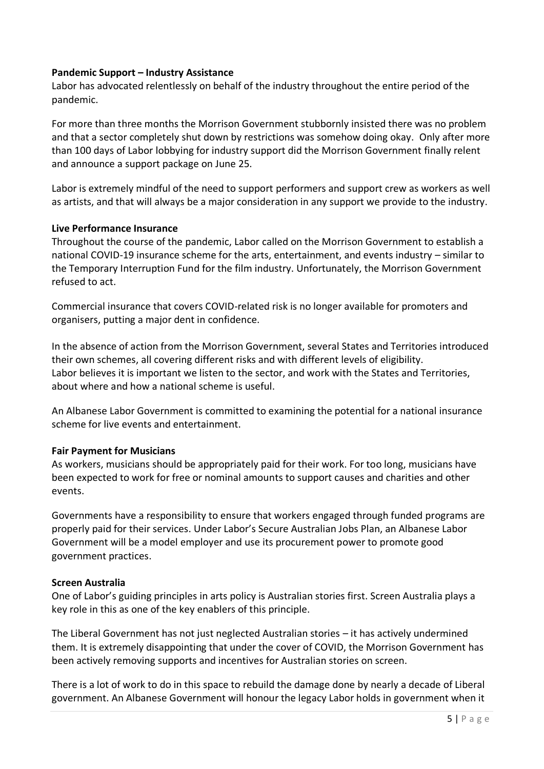## **Pandemic Support – Industry Assistance**

Labor has advocated relentlessly on behalf of the industry throughout the entire period of the pandemic.

For more than three months the Morrison Government stubbornly insisted there was no problem and that a sector completely shut down by restrictions was somehow doing okay. Only after more than 100 days of Labor lobbying for industry support did the Morrison Government finally relent and announce a support package on June 25.

Labor is extremely mindful of the need to support performers and support crew as workers as well as artists, and that will always be a major consideration in any support we provide to the industry.

### **Live Performance Insurance**

Throughout the course of the pandemic, Labor called on the Morrison Government to establish a national COVID-19 insurance scheme for the arts, entertainment, and events industry – similar to the Temporary Interruption Fund for the film industry. Unfortunately, the Morrison Government refused to act.

Commercial insurance that covers COVID-related risk is no longer available for promoters and organisers, putting a major dent in confidence.

In the absence of action from the Morrison Government, several States and Territories introduced their own schemes, all covering different risks and with different levels of eligibility. Labor believes it is important we listen to the sector, and work with the States and Territories, about where and how a national scheme is useful.

An Albanese Labor Government is committed to examining the potential for a national insurance scheme for live events and entertainment.

### **Fair Payment for Musicians**

As workers, musicians should be appropriately paid for their work. For too long, musicians have been expected to work for free or nominal amounts to support causes and charities and other events.

Governments have a responsibility to ensure that workers engaged through funded programs are properly paid for their services. Under Labor's Secure Australian Jobs Plan, an Albanese Labor Government will be a model employer and use its procurement power to promote good government practices.

#### **Screen Australia**

One of Labor's guiding principles in arts policy is Australian stories first. Screen Australia plays a key role in this as one of the key enablers of this principle.

The Liberal Government has not just neglected Australian stories – it has actively undermined them. It is extremely disappointing that under the cover of COVID, the Morrison Government has been actively removing supports and incentives for Australian stories on screen.

There is a lot of work to do in this space to rebuild the damage done by nearly a decade of Liberal government. An Albanese Government will honour the legacy Labor holds in government when it